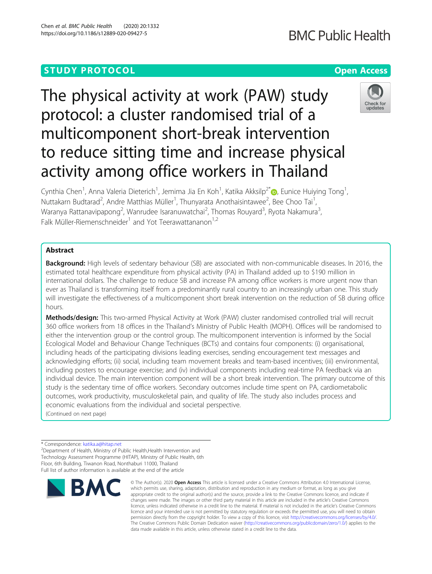## **STUDY PROTOCOL CONSUMING THE RESERVE ACCESS**

# The physical activity at work (PAW) study protocol: a cluster randomised trial of a multicomponent short-break intervention to reduce sitting time and increase physical activity among office workers in Thailand

Cynthia Chen<sup>1</sup>, Anna Valeria Dieterich<sup>1</sup>, Jemima Jia En Koh<sup>1</sup>, Katika Akksilp<sup>2[\\*](http://orcid.org/0000-0002-7270-8820)</sup>®, Eunice Huiying Tong<sup>1</sup> , Nuttakarn Budtarad<sup>2</sup>, Andre Matthias Müller<sup>1</sup>, Thunyarata Anothaisintawee<sup>2</sup>, Bee Choo Tai<sup>1</sup> , Waranya Rattanavipapong<sup>2</sup>, Wanrudee Isaranuwatchai<sup>2</sup>, Thomas Rouyard<sup>3</sup>, Ryota Nakamura<sup>3</sup> , Falk Müller-Riemenschneider<sup>1</sup> and Yot Teerawattananon<sup>1,2</sup>

## Abstract

**Background:** High levels of sedentary behaviour (SB) are associated with non-communicable diseases. In 2016, the estimated total healthcare expenditure from physical activity (PA) in Thailand added up to \$190 million in international dollars. The challenge to reduce SB and increase PA among office workers is more urgent now than ever as Thailand is transforming itself from a predominantly rural country to an increasingly urban one. This study will investigate the effectiveness of a multicomponent short break intervention on the reduction of SB during office hours.

Methods/design: This two-armed Physical Activity at Work (PAW) cluster randomised controlled trial will recruit 360 office workers from 18 offices in the Thailand's Ministry of Public Health (MOPH). Offices will be randomised to either the intervention group or the control group. The multicomponent intervention is informed by the Social Ecological Model and Behaviour Change Techniques (BCTs) and contains four components: (i) organisational, including heads of the participating divisions leading exercises, sending encouragement text messages and acknowledging efforts; (ii) social, including team movement breaks and team-based incentives; (iii) environmental, including posters to encourage exercise; and (iv) individual components including real-time PA feedback via an individual device. The main intervention component will be a short break intervention. The primary outcome of this study is the sedentary time of office workers. Secondary outcomes include time spent on PA, cardiometabolic outcomes, work productivity, musculoskeletal pain, and quality of life. The study also includes process and economic evaluations from the individual and societal perspective.

(Continued on next page)

**BMC** 

\* Correspondence: [katika.a@hitap.net](mailto:katika.a@hitap.net)<br><sup>2</sup>Department of Health, Ministry of Public Health,Health Intervention and Technology Assessment Programme (HITAP), Ministry of Public Health, 6th Floor, 6th Building, Tiwanon Road, Nonthaburi 11000, Thailand Full list of author information is available at the end of the article

#### © The Author(s), 2020 **Open Access** This article is licensed under a Creative Commons Attribution 4.0 International License, which permits use, sharing, adaptation, distribution and reproduction in any medium or format, as long as you give appropriate credit to the original author(s) and the source, provide a link to the Creative Commons licence, and indicate if changes were made. The images or other third party material in this article are included in the article's Creative Commons licence, unless indicated otherwise in a credit line to the material. If material is not included in the article's Creative Commons licence and your intended use is not permitted by statutory regulation or exceeds the permitted use, you will need to obtain permission directly from the copyright holder. To view a copy of this licence, visit [http://creativecommons.org/licenses/by/4.0/.](http://creativecommons.org/licenses/by/4.0/) The Creative Commons Public Domain Dedication waiver [\(http://creativecommons.org/publicdomain/zero/1.0/](http://creativecommons.org/publicdomain/zero/1.0/)) applies to the data made available in this article, unless otherwise stated in a credit line to the data.





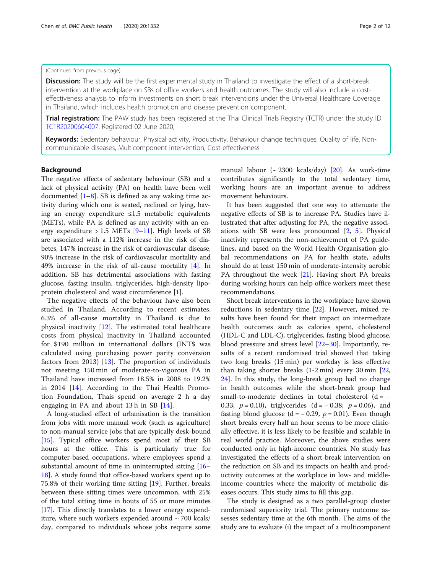## (Continued from previous page)

**Discussion:** The study will be the first experimental study in Thailand to investigate the effect of a short-break intervention at the workplace on SBs of office workers and health outcomes. The study will also include a costeffectiveness analysis to inform investments on short break interventions under the Universal Healthcare Coverage in Thailand, which includes health promotion and disease prevention component.

Trial registration: The PAW study has been registered at the Thai Clinical Trials Registry (TCTR) under the study ID [TCTR20200604007.](https://www.clinicaltrials.in.th/index.php?tp=regtrials&menu=trialsearch&smenu=fulltext&task=search&task2=view1&id=6154) Registered 02 June 2020,

Keywords: Sedentary behaviour, Physical activity, Productivity, Behaviour change techniques, Quality of life, Noncommunicable diseases, Multicomponent intervention, Cost-effectiveness

## Background

The negative effects of sedentary behaviour (SB) and a lack of physical activity (PA) on health have been well documented  $[1-8]$  $[1-8]$  $[1-8]$  $[1-8]$ . SB is defined as any waking time activity during which one is seated, reclined or lying, having an energy expenditure ≤1.5 metabolic equivalents (METs), while PA is defined as any activity with an energy expenditure  $> 1.5$  METs [[9](#page-10-0)–[11](#page-10-0)]. High levels of SB are associated with a 112% increase in the risk of diabetes, 147% increase in the risk of cardiovascular disease, 90% increase in the risk of cardiovascular mortality and 49% increase in the risk of all-cause mortality [[4](#page-10-0)]. In addition, SB has detrimental associations with fasting glucose, fasting insulin, triglycerides, high-density lipoprotein cholesterol and waist circumference [\[1](#page-10-0)].

The negative effects of the behaviour have also been studied in Thailand. According to recent estimates, 6.3% of all-cause mortality in Thailand is due to physical inactivity [[12\]](#page-10-0). The estimated total healthcare costs from physical inactivity in Thailand accounted for \$190 million in international dollars (INT\$ was calculated using purchasing power parity conversion factors from 2013) [[13\]](#page-10-0). The proportion of individuals not meeting 150 min of moderate-to-vigorous PA in Thailand have increased from 18.5% in 2008 to 19.2% in 2014 [[14\]](#page-10-0). According to the Thai Health Promotion Foundation, Thais spend on average 2 h a day engaging in PA and about 13 h in SB [[14\]](#page-10-0).

A long-studied effect of urbanisation is the transition from jobs with more manual work (such as agriculture) to non-manual service jobs that are typically desk-bound [[15\]](#page-10-0). Typical office workers spend most of their SB hours at the office. This is particularly true for computer-based occupations, where employees spend a substantial amount of time in uninterrupted sitting [[16](#page-10-0)– [18\]](#page-10-0). A study found that office-based workers spent up to 75.8% of their working time sitting [\[19\]](#page-10-0). Further, breaks between these sitting times were uncommon, with 25% of the total sitting time in bouts of 55 or more minutes [[17\]](#page-10-0). This directly translates to a lower energy expenditure, where such workers expended around  $\sim$  700 kcals/ day, compared to individuals whose jobs require some manual labour  $({\sim} 2300 \text{ kcals/day})$  [[20\]](#page-10-0). As work-time contributes significantly to the total sedentary time, working hours are an important avenue to address movement behaviours.

It has been suggested that one way to attenuate the negative effects of SB is to increase PA. Studies have illustrated that after adjusting for PA, the negative associations with SB were less pronounced [\[2](#page-10-0), [5\]](#page-10-0). Physical inactivity represents the non-achievement of PA guidelines, and based on the World Health Organisation global recommendations on PA for health state, adults should do at least 150 min of moderate-intensity aerobic PA throughout the week [\[21](#page-10-0)]. Having short PA breaks during working hours can help office workers meet these recommendations.

Short break interventions in the workplace have shown reductions in sedentary time [\[22](#page-10-0)]. However, mixed results have been found for their impact on intermediate health outcomes such as calories spent, cholesterol (HDL-C and LDL-C), triglycerides, fasting blood glucose, blood pressure and stress level [\[22](#page-10-0)–[30](#page-10-0)]. Importantly, results of a recent randomised trial showed that taking two long breaks (15 min) per workday is less effective than taking shorter breaks (1-2 min) every 30 min [[22](#page-10-0), [24\]](#page-10-0). In this study, the long-break group had no change in health outcomes while the short-break group had small-to-moderate declines in total cholesterol  $(d = -$ 0.33;  $p = 0.10$ , triglycerides  $(d = -0.38; p = 0.06)$ , and fasting blood glucose (d =  $-0.29$ ,  $p = 0.01$ ). Even though short breaks every half an hour seems to be more clinically effective, it is less likely to be feasible and scalable in real world practice. Moreover, the above studies were conducted only in high-income countries. No study has investigated the effects of a short-break intervention on the reduction on SB and its impacts on health and productivity outcomes at the workplace in low- and middleincome countries where the majority of metabolic diseases occurs. This study aims to fill this gap.

The study is designed as a two parallel-group cluster randomised superiority trial. The primary outcome assesses sedentary time at the 6th month. The aims of the study are to evaluate (i) the impact of a multicomponent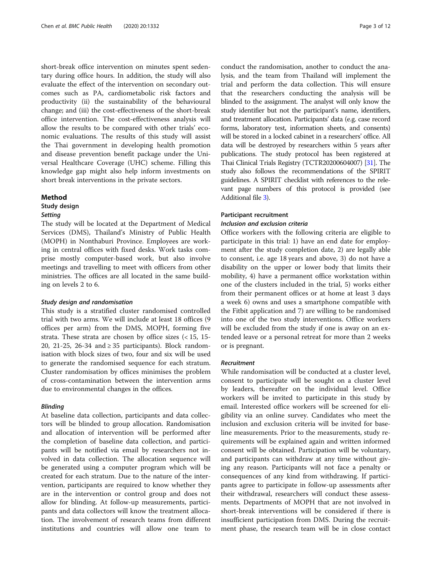short-break office intervention on minutes spent sedentary during office hours. In addition, the study will also evaluate the effect of the intervention on secondary outcomes such as PA, cardiometabolic risk factors and productivity (ii) the sustainability of the behavioural change; and (iii) the cost-effectiveness of the short-break office intervention. The cost-effectiveness analysis will allow the results to be compared with other trials' economic evaluations. The results of this study will assist the Thai government in developing health promotion and disease prevention benefit package under the Universal Healthcare Coverage (UHC) scheme. Filling this knowledge gap might also help inform investments on short break interventions in the private sectors.

## Method

## Study design

#### **Setting**

The study will be located at the Department of Medical Services (DMS), Thailand's Ministry of Public Health (MOPH) in Nonthaburi Province. Employees are working in central offices with fixed desks. Work tasks comprise mostly computer-based work, but also involve meetings and travelling to meet with officers from other ministries. The offices are all located in the same building on levels 2 to 6.

#### Study design and randomisation

This study is a stratified cluster randomised controlled trial with two arms. We will include at least 18 offices (9 offices per arm) from the DMS, MOPH, forming five strata. These strata are chosen by office sizes (< 15, 15- 20, 21-25, 26-34 and  $\geq$  35 participants). Block randomisation with block sizes of two, four and six will be used to generate the randomised sequence for each stratum. Cluster randomisation by offices minimises the problem of cross-contamination between the intervention arms due to environmental changes in the offices.

## **Blinding**

At baseline data collection, participants and data collectors will be blinded to group allocation. Randomisation and allocation of intervention will be performed after the completion of baseline data collection, and participants will be notified via email by researchers not involved in data collection. The allocation sequence will be generated using a computer program which will be created for each stratum. Due to the nature of the intervention, participants are required to know whether they are in the intervention or control group and does not allow for blinding. At follow-up measurements, participants and data collectors will know the treatment allocation. The involvement of research teams from different institutions and countries will allow one team to

conduct the randomisation, another to conduct the analysis, and the team from Thailand will implement the trial and perform the data collection. This will ensure that the researchers conducting the analysis will be blinded to the assignment. The analyst will only know the study identifier but not the participant's name, identifiers, and treatment allocation. Participants' data (e.g. case record forms, laboratory test, information sheets, and consents) will be stored in a locked cabinet in a researchers' office. All data will be destroyed by researchers within 5 years after publications. The study protocol has been registered at Thai Clinical Trials Registry (TCTR20200604007) [[31\]](#page-10-0). The study also follows the recommendations of the SPIRIT guidelines. A SPIRIT checklist with references to the relevant page numbers of this protocol is provided (see Additional file [3\)](#page-9-0).

#### Participant recruitment

## Inclusion and exclusion criteria

Office workers with the following criteria are eligible to participate in this trial: 1) have an end date for employment after the study completion date, 2) are legally able to consent, i.e. age 18 years and above, 3) do not have a disability on the upper or lower body that limits their mobility, 4) have a permanent office workstation within one of the clusters included in the trial, 5) works either from their permanent offices or at home at least 3 days a week 6) owns and uses a smartphone compatible with the Fitbit application and 7) are willing to be randomised into one of the two study interventions. Office workers will be excluded from the study if one is away on an extended leave or a personal retreat for more than 2 weeks or is pregnant.

#### Recruitment

While randomisation will be conducted at a cluster level, consent to participate will be sought on a cluster level by leaders, thereafter on the individual level. Office workers will be invited to participate in this study by email. Interested office workers will be screened for eligibility via an online survey. Candidates who meet the inclusion and exclusion criteria will be invited for baseline measurements. Prior to the measurements, study requirements will be explained again and written informed consent will be obtained. Participation will be voluntary, and participants can withdraw at any time without giving any reason. Participants will not face a penalty or consequences of any kind from withdrawing. If participants agree to participate in follow-up assessments after their withdrawal, researchers will conduct these assessments. Departments of MOPH that are not involved in short-break interventions will be considered if there is insufficient participation from DMS. During the recruitment phase, the research team will be in close contact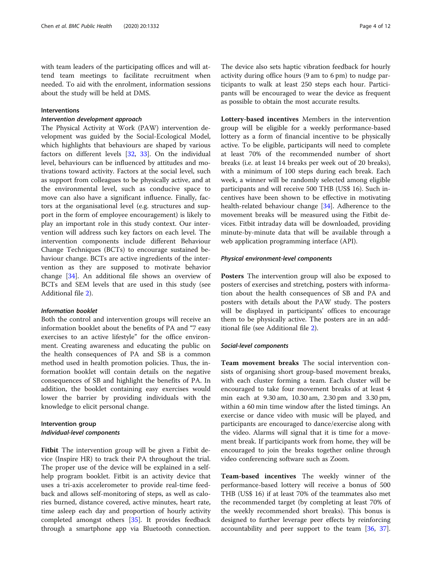with team leaders of the participating offices and will attend team meetings to facilitate recruitment when needed. To aid with the enrolment, information sessions about the study will be held at DMS.

## Interventions

## Intervention development approach

The Physical Activity at Work (PAW) intervention development was guided by the Social-Ecological Model, which highlights that behaviours are shaped by various factors on different levels [[32,](#page-10-0) [33\]](#page-10-0). On the individual level, behaviours can be influenced by attitudes and motivations toward activity. Factors at the social level, such as support from colleagues to be physically active, and at the environmental level, such as conducive space to move can also have a significant influence. Finally, factors at the organisational level (e.g. structures and support in the form of employee encouragement) is likely to play an important role in this study context. Our intervention will address such key factors on each level. The intervention components include different Behaviour Change Techniques (BCTs) to encourage sustained behaviour change. BCTs are active ingredients of the intervention as they are supposed to motivate behavior change [[34\]](#page-10-0). An additional file shows an overview of BCTs and SEM levels that are used in this study (see Additional file [2](#page-9-0)).

## Information booklet

Both the control and intervention groups will receive an information booklet about the benefits of PA and "7 easy exercises to an active lifestyle" for the office environment. Creating awareness and educating the public on the health consequences of PA and SB is a common method used in health promotion policies. Thus, the information booklet will contain details on the negative consequences of SB and highlight the benefits of PA. In addition, the booklet containing easy exercises would lower the barrier by providing individuals with the knowledge to elicit personal change.

## Intervention group Individual-level components

Fitbit The intervention group will be given a Fitbit device (Inspire HR) to track their PA throughout the trial. The proper use of the device will be explained in a selfhelp program booklet. Fitbit is an activity device that uses a tri-axis accelerometer to provide real-time feedback and allows self-monitoring of steps, as well as calories burned, distance covered, active minutes, heart rate, time asleep each day and proportion of hourly activity completed amongst others [[35\]](#page-10-0). It provides feedback through a smartphone app via Bluetooth connection. as possible to obtain the most accurate results.

Lottery-based incentives Members in the intervention group will be eligible for a weekly performance-based lottery as a form of financial incentive to be physically active. To be eligible, participants will need to complete at least 70% of the recommended number of short breaks (i.e. at least 14 breaks per week out of 20 breaks), with a minimum of 100 steps during each break. Each week, a winner will be randomly selected among eligible participants and will receive 500 THB (US\$ 16). Such incentives have been shown to be effective in motivating health-related behaviour change [[34\]](#page-10-0). Adherence to the movement breaks will be measured using the Fitbit devices. Fitbit intraday data will be downloaded, providing minute-by-minute data that will be available through a web application programming interface (API).

## Physical environment-level components

Posters The intervention group will also be exposed to posters of exercises and stretching, posters with information about the health consequences of SB and PA and posters with details about the PAW study. The posters will be displayed in participants' offices to encourage them to be physically active. The posters are in an additional file (see Additional file [2\)](#page-9-0).

#### Social-level components

Team movement breaks The social intervention consists of organising short group-based movement breaks, with each cluster forming a team. Each cluster will be encouraged to take four movement breaks of at least 4 min each at 9.30 am, 10.30 am, 2.30 pm and 3.30 pm, within a 60 min time window after the listed timings. An exercise or dance video with music will be played, and participants are encouraged to dance/exercise along with the video. Alarms will signal that it is time for a movement break. If participants work from home, they will be encouraged to join the breaks together online through video conferencing software such as Zoom.

Team-based incentives The weekly winner of the performance-based lottery will receive a bonus of 500 THB (US\$ 16) if at least 70% of the teammates also met the recommended target (by completing at least 70% of the weekly recommended short breaks). This bonus is designed to further leverage peer effects by reinforcing accountability and peer support to the team [\[36](#page-11-0), [37](#page-11-0)].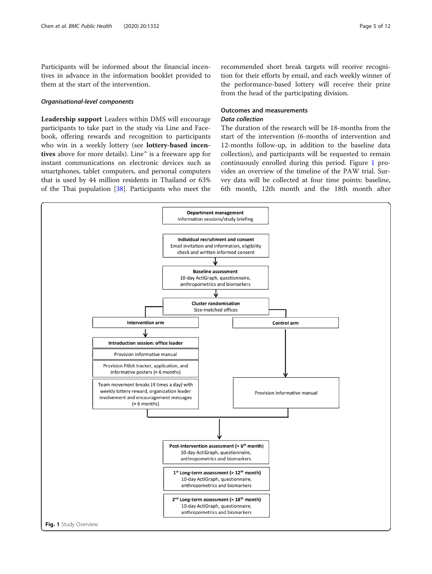Participants will be informed about the financial incentives in advance in the information booklet provided to them at the start of the intervention.

## Organisational-level components

Leadership support Leaders within DMS will encourage participants to take part in the study via Line and Facebook, offering rewards and recognition to participants who win in a weekly lottery (see lottery-based incentives above for more details). Line™ is a freeware app for instant communications on electronic devices such as smartphones, tablet computers, and personal computers that is used by 44 million residents in Thailand or 63% of the Thai population [\[38](#page-11-0)]. Participants who meet the

recommended short break targets will receive recognition for their efforts by email, and each weekly winner of the performance-based lottery will receive their prize from the head of the participating division.

## Outcomes and measurements Data collection

The duration of the research will be 18-months from the start of the intervention (6-months of intervention and 12-months follow-up, in addition to the baseline data collection), and participants will be requested to remain continuously enrolled during this period. Figure 1 provides an overview of the timeline of the PAW trial. Survey data will be collected at four time points: baseline, 6th month, 12th month and the 18th month after

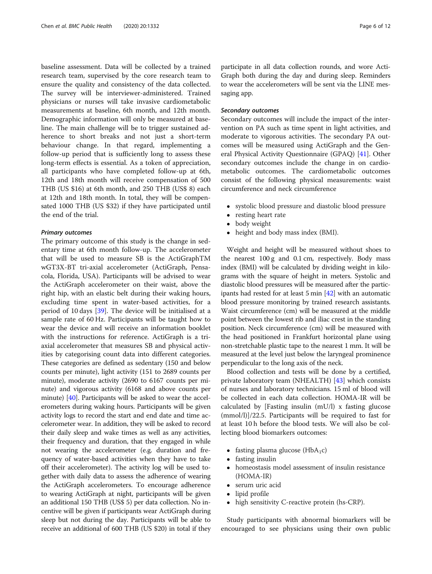baseline assessment. Data will be collected by a trained research team, supervised by the core research team to ensure the quality and consistency of the data collected. The survey will be interviewer-administered. Trained physicians or nurses will take invasive cardiometabolic measurements at baseline, 6th month, and 12th month. Demographic information will only be measured at baseline. The main challenge will be to trigger sustained adherence to short breaks and not just a short-term behaviour change. In that regard, implementing a follow-up period that is sufficiently long to assess these long-term effects is essential. As a token of appreciation, all participants who have completed follow-up at 6th, 12th and 18th month will receive compensation of 500 THB (US \$16) at 6th month, and 250 THB (US\$ 8) each at 12th and 18th month. In total, they will be compensated 1000 THB (US \$32) if they have participated until the end of the trial.

#### Primary outcomes

The primary outcome of this study is the change in sedentary time at 6th month follow-up. The accelerometer that will be used to measure SB is the ActiGraphTM wGT3X-BT tri-axial accelerometer (ActiGraph, Pensacola, Florida, USA). Participants will be advised to wear the ActiGraph accelerometer on their waist, above the right hip, with an elastic belt during their waking hours, excluding time spent in water-based activities, for a period of 10 days [\[39\]](#page-11-0). The device will be initialised at a sample rate of 60 Hz. Participants will be taught how to wear the device and will receive an information booklet with the instructions for reference. ActiGraph is a triaxial accelerometer that measures SB and physical activities by categorising count data into different categories. These categories are defined as sedentary (150 and below counts per minute), light activity (151 to 2689 counts per minute), moderate activity (2690 to 6167 counts per minute) and vigorous activity (6168 and above counts per minute) [[40](#page-11-0)]. Participants will be asked to wear the accelerometers during waking hours. Participants will be given activity logs to record the start and end date and time accelerometer wear. In addition, they will be asked to record their daily sleep and wake times as well as any activities, their frequency and duration, that they engaged in while not wearing the accelerometer (e.g. duration and frequency of water-based activities when they have to take off their accelerometer). The activity log will be used together with daily data to assess the adherence of wearing the ActiGraph accelerometers. To encourage adherence to wearing ActiGraph at night, participants will be given an additional 150 THB (US\$ 5) per data collection. No incentive will be given if participants wear ActiGraph during sleep but not during the day. Participants will be able to receive an additional of 600 THB (US \$20) in total if they participate in all data collection rounds, and wore Acti-Graph both during the day and during sleep. Reminders to wear the accelerometers will be sent via the LINE messaging app.

#### Secondary outcomes

Secondary outcomes will include the impact of the intervention on PA such as time spent in light activities, and moderate to vigorous activities. The secondary PA outcomes will be measured using ActiGraph and the General Physical Activity Questionnaire (GPAQ) [[41\]](#page-11-0). Other secondary outcomes include the change in on cardiometabolic outcomes. The cardiometabolic outcomes consist of the following physical measurements: waist circumference and neck circumference

- systolic blood pressure and diastolic blood pressure
- resting heart rate<br>• body weight
- body weight<br>• height and h
- height and body mass index (BMI).

Weight and height will be measured without shoes to the nearest 100 g and 0.1 cm, respectively. Body mass index (BMI) will be calculated by dividing weight in kilograms with the square of height in meters. Systolic and diastolic blood pressures will be measured after the participants had rested for at least 5 min [\[42\]](#page-11-0) with an automatic blood pressure monitoring by trained research assistants. Waist circumference (cm) will be measured at the middle point between the lowest rib and iliac crest in the standing position. Neck circumference (cm) will be measured with the head positioned in Frankfurt horizontal plane using non-stretchable plastic tape to the nearest 1 mm. It will be measured at the level just below the laryngeal prominence perpendicular to the long axis of the neck.

Blood collection and tests will be done by a certified, private laboratory team (NHEALTH) [\[43\]](#page-11-0) which consists of nurses and laboratory technicians. 15 ml of blood will be collected in each data collection. HOMA-IR will be calculated by [Fasting insulin (mU/l) x fasting glucose (mmol/l)]/22.5. Participants will be required to fast for at least 10 h before the blood tests. We will also be collecting blood biomarkers outcomes:

- fasting plasma glucose ( $HbA_1c$ )
- fasting insulin
- homeostasis model assessment of insulin resistance (HOMA-IR)
- serum uric acid
- lipid profile
- high sensitivity C-reactive protein (hs-CRP).

Study participants with abnormal biomarkers will be encouraged to see physicians using their own public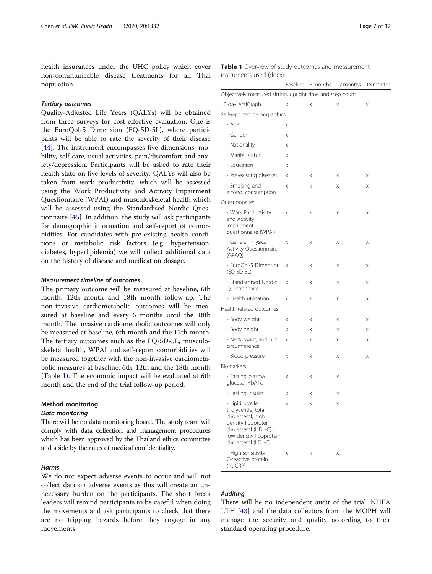health insurances under the UHC policy which cover non-communicable disease treatments for all Thai population.

#### Tertiary outcomes

Quality-Adjusted Life Years (QALYs) will be obtained from three surveys for cost-effective evaluation. One is the EuroQol-5 Dimension (EQ-5D-5L), where participants will be able to rate the severity of their disease [[44\]](#page-11-0). The instrument encompasses five dimensions: mobility, self-care, usual activities, pain/discomfort and anxiety/depression. Participants will be asked to rate their health state on five levels of severity. QALYs will also be taken from work productivity, which will be assessed using the Work Productivity and Activity Impairment Questionnaire (WPAI) and musculoskeletal health which will be assessed using the Standardised Nordic Questionnaire [[45](#page-11-0)]. In addition, the study will ask participants for demographic information and self-report of comorbidities. For candidates with pre-existing health conditions or metabolic risk factors (e.g. hypertension, diabetes, hyperlipidemia) we will collect additional data on the history of disease and medication dosage.

## Measurement timeline of outcomes

The primary outcome will be measured at baseline, 6th month, 12th month and 18th month follow-up. The non-invasive cardiometabolic outcomes will be measured at baseline and every 6 months until the 18th month. The invasive cardiometabolic outcomes will only be measured at baseline, 6th month and the 12th month. The tertiary outcomes such as the EQ-5D-5L, musculoskeletal health, WPAI and self-report comorbidities will be measured together with the non-invasive cardiometabolic measures at baseline, 6th, 12th and the 18th month (Table 1). The economic impact will be evaluated at 6th month and the end of the trial follow-up period.

## Method monitoring

## Data monitoring

There will be no data monitoring board. The study team will comply with data collection and management procedures which has been approved by the Thailand ethics committee and abide by the rules of medical confidentiality.

## Harms

We do not expect adverse events to occur and will not collect data on adverse events as this will create an unnecessary burden on the participants. The short break leaders will remind participants to be careful when doing the movements and ask participants to check that there are no tripping hazards before they engage in any movements.

|                         |  | Table 1 Overview of study outcomes and measurement |  |
|-------------------------|--|----------------------------------------------------|--|
| instruments used (docx) |  |                                                    |  |

|                                                                                                                                                               | Baseline | 6 months | 12 months | 18 months |
|---------------------------------------------------------------------------------------------------------------------------------------------------------------|----------|----------|-----------|-----------|
| Objectively measured sitting, upright time and step count                                                                                                     |          |          |           |           |
| 10-day ActiGraph                                                                                                                                              | Χ        | Χ        | Χ         | Χ         |
| Self-reported demographics                                                                                                                                    |          |          |           |           |
| - Age                                                                                                                                                         | Χ        |          |           |           |
| - Gender                                                                                                                                                      | Χ        |          |           |           |
| - Nationality                                                                                                                                                 | X        |          |           |           |
| - Marital status                                                                                                                                              | X        |          |           |           |
| - Education                                                                                                                                                   | Χ        |          |           |           |
| - Pre-existing diseases                                                                                                                                       | X        | X        | Χ         | Χ         |
| - Smoking and<br>alcohol consumption                                                                                                                          | Χ        | X        | X         | Χ         |
| Questionnaire:                                                                                                                                                |          |          |           |           |
| - Work Productivity<br>and Activity<br>Impairment<br>questionnaire (WPAI)                                                                                     | Χ        | X        | Χ         | Χ         |
| - General Physical<br><b>Activity Questionnaire</b><br>(GPAQ)                                                                                                 | Χ        | Χ        | Χ         | Χ         |
| - EuroQol-5 Dimension<br>(EQ-5D-5L)                                                                                                                           | X        | Χ        | Χ         | Χ         |
| - Standardised Nordic<br>Ouestionnaire                                                                                                                        | X        | X        | X         | Χ         |
| - Health utilisation                                                                                                                                          | X        | Χ        | Χ         | Χ         |
| Health-related outcomes                                                                                                                                       |          |          |           |           |
| - Body weight                                                                                                                                                 | Χ        | X        | Χ         | Χ         |
| - Body height                                                                                                                                                 | Χ        | X        | Χ         | Χ         |
| - Neck, waist, and hip<br>circumference                                                                                                                       | Χ        | X        | Χ         | Χ         |
| - Blood pressure                                                                                                                                              | X        | X        | Χ         | Χ         |
| <b>Biomarkers</b>                                                                                                                                             |          |          |           |           |
| - Fasting plasma<br>glucose, HbA1c                                                                                                                            | Χ        | Χ        | Χ         |           |
| - Fasting insulin                                                                                                                                             | Χ        | Χ        | Χ         |           |
| - Lipid profile:<br>triglyceride, total<br>cholesterol, high<br>density lipoprotein<br>cholesterol (HDL-C),<br>low density lipoprotein<br>cholesterol (LDL-C) | Χ        | Χ        | Χ         |           |
| - High sensitivity<br>C-reactive protein<br>(hs-CRP)                                                                                                          | Χ        | Χ        | Χ         |           |

## **Auditing**

There will be no independent audit of the trial. NHEA LTH [[43](#page-11-0)] and the data collectors from the MOPH will manage the security and quality according to their standard operating procedure.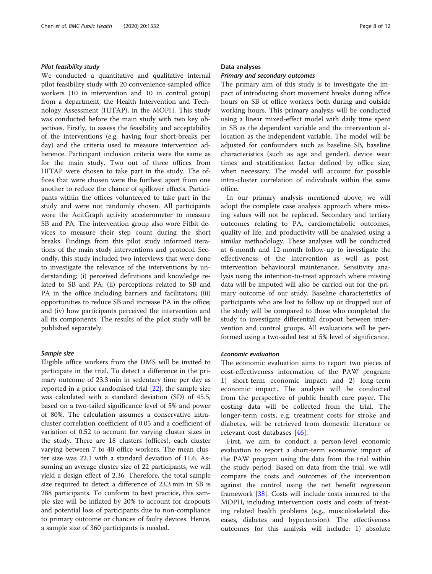## Pilot feasibility study

We conducted a quantitative and qualitative internal pilot feasibility study with 20 convenience-sampled office workers (10 in intervention and 10 in control group) from a department, the Health Intervention and Technology Assessment (HITAP), in the MOPH. This study was conducted before the main study with two key objectives. Firstly, to assess the feasibility and acceptability of the interventions (e.g. having four short-breaks per day) and the criteria used to measure intervention adherence. Participant inclusion criteria were the same as for the main study. Two out of three offices from HITAP were chosen to take part in the study. The offices that were chosen were the furthest apart from one another to reduce the chance of spillover effects. Participants within the offices volunteered to take part in the study and were not randomly chosen. All participants wore the AcitGraph activity accelerometer to measure SB and PA. The intervention group also wore Fitbit devices to measure their step count during the short breaks. Findings from this pilot study informed iterations of the main study interventions and protocol. Secondly, this study included two interviews that were done to investigate the relevance of the interventions by understanding: (i) perceived definitions and knowledge related to SB and PA; (ii) perceptions related to SB and PA in the office including barriers and facilitators; (iii) opportunities to reduce SB and increase PA in the office; and (iv) how participants perceived the intervention and all its components. The results of the pilot study will be published separately.

## Sample size

Eligible office workers from the DMS will be invited to participate in the trial. To detect a difference in the primary outcome of 23.3 min in sedentary time per day as reported in a prior randomised trial [[22\]](#page-10-0), the sample size was calculated with a standard deviation (SD) of 45.5, based on a two-tailed significance level of 5% and power of 80%. The calculation assumes a conservative intracluster correlation coefficient of 0.05 and a coefficient of variation of 0.52 to account for varying cluster sizes in the study. There are 18 clusters (offices), each cluster varying between 7 to 40 office workers. The mean cluster size was 22.1 with a standard deviation of 11.6. Assuming an average cluster size of 22 participants, we will yield a design effect of 2.36. Therefore, the total sample size required to detect a difference of 23.3 min in SB is 288 participants. To conform to best practice, this sample size will be inflated by 20% to account for dropouts and potential loss of participants due to non-compliance to primary outcome or chances of faulty devices. Hence, a sample size of 360 participants is needed.

#### Data analyses

#### Primary and secondary outcomes

The primary aim of this study is to investigate the impact of introducing short movement breaks during office hours on SB of office workers both during and outside working hours. This primary analysis will be conducted using a linear mixed-effect model with daily time spent in SB as the dependent variable and the intervention allocation as the independent variable. The model will be adjusted for confounders such as baseline SB, baseline characteristics (such as age and gender), device wear times and stratification factor defined by office size, when necessary. The model will account for possible intra-cluster correlation of individuals within the same office.

In our primary analysis mentioned above, we will adopt the complete case analysis approach where missing values will not be replaced. Secondary and tertiary outcomes relating to PA, cardiometabolic outcomes, quality of life, and productivity will be analysed using a similar methodology. These analyses will be conducted at 6-month and 12-month follow-up to investigate the effectiveness of the intervention as well as postintervention behavioural maintenance. Sensitivity analysis using the intention-to-treat approach where missing data will be imputed will also be carried out for the primary outcome of our study. Baseline characteristics of participants who are lost to follow up or dropped out of the study will be compared to those who completed the study to investigate differential dropout between intervention and control groups. All evaluations will be performed using a two-sided test at 5% level of significance.

#### Economic evaluation

The economic evaluation aims to report two pieces of cost-effectiveness information of the PAW program: 1) short-term economic impact; and 2) long-term economic impact. The analysis will be conducted from the perspective of public health care payer. The costing data will be collected from the trial. The longer-term costs, e.g. treatment costs for stroke and diabetes, will be retrieved from domestic literature or relevant cost databases [\[46](#page-11-0)].

First, we aim to conduct a person-level economic evaluation to report a short-term economic impact of the PAW program using the data from the trial within the study period. Based on data from the trial, we will compare the costs and outcomes of the intervention against the control using the net benefit regression framework [[38](#page-11-0)]. Costs will include costs incurred to the MOPH, including intervention costs and costs of treating related health problems (e.g., musculoskeletal diseases, diabetes and hypertension). The effectiveness outcomes for this analysis will include: 1) absolute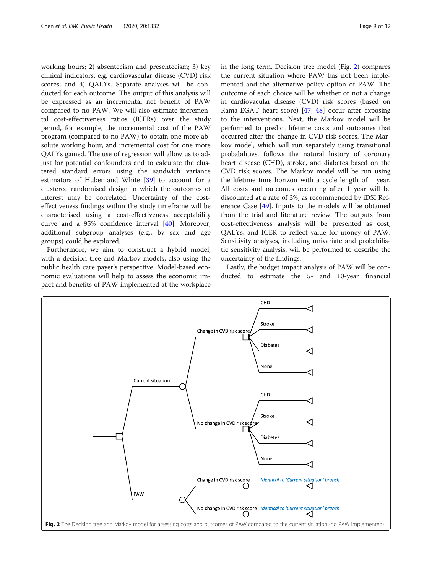working hours; 2) absenteeism and presenteeism; 3) key clinical indicators, e.g. cardiovascular disease (CVD) risk scores; and 4) QALYs. Separate analyses will be conducted for each outcome. The output of this analysis will be expressed as an incremental net benefit of PAW compared to no PAW. We will also estimate incremental cost-effectiveness ratios (ICERs) over the study period, for example, the incremental cost of the PAW program (compared to no PAW) to obtain one more absolute working hour, and incremental cost for one more QALYs gained. The use of regression will allow us to adjust for potential confounders and to calculate the clustered standard errors using the sandwich variance estimators of Huber and White [\[39](#page-11-0)] to account for a clustered randomised design in which the outcomes of interest may be correlated. Uncertainty of the costeffectiveness findings within the study timeframe will be characterised using a cost-effectiveness acceptability curve and a 95% confidence interval [[40](#page-11-0)]. Moreover, additional subgroup analyses (e.g., by sex and age groups) could be explored.

Furthermore, we aim to construct a hybrid model, with a decision tree and Markov models, also using the public health care payer's perspective. Model-based economic evaluations will help to assess the economic impact and benefits of PAW implemented at the workplace in the long term. Decision tree model (Fig. 2) compares the current situation where PAW has not been implemented and the alternative policy option of PAW. The outcome of each choice will be whether or not a change in cardiovacular disease (CVD) risk scores (based on Rama-EGAT heart score) [\[47,](#page-11-0) [48](#page-11-0)] occur after exposing to the interventions. Next, the Markov model will be performed to predict lifetime costs and outcomes that occurred after the change in CVD risk scores. The Markov model, which will run separately using transitional probabilities, follows the natural history of coronary heart disease (CHD), stroke, and diabetes based on the CVD risk scores. The Markov model will be run using the lifetime time horizon with a cycle length of 1 year. All costs and outcomes occurring after 1 year will be discounted at a rate of 3%, as recommended by iDSI Reference Case [\[49](#page-11-0)]. Inputs to the models will be obtained from the trial and literature review. The outputs from cost-effectiveness analysis will be presented as cost, QALYs, and ICER to reflect value for money of PAW. Sensitivity analyses, including univariate and probabilistic sensitivity analysis, will be performed to describe the uncertainty of the findings.

Lastly, the budget impact analysis of PAW will be conducted to estimate the 5- and 10-year financial

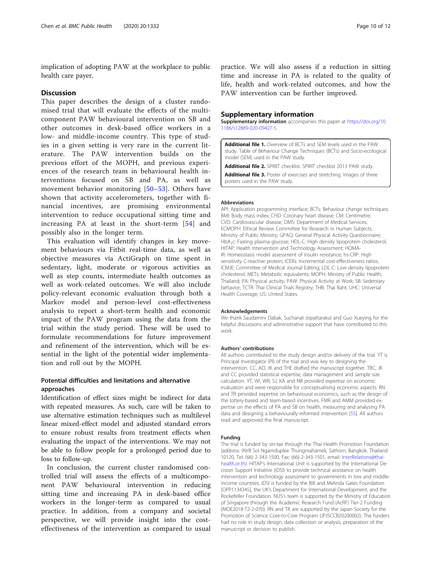<span id="page-9-0"></span>implication of adopting PAW at the workplace to public health care payer.

## **Discussion**

This paper describes the design of a cluster randomised trial that will evaluate the effects of the multicomponent PAW behavioural intervention on SB and other outcomes in desk-based office workers in a low- and middle-income country. This type of studies in a given setting is very rare in the current literature. The PAW intervention builds on the previous effort of the MOPH, and previous experiences of the research team in behavioural health interventions focused on SB and PA, as well as movement behavior monitoring [[50](#page-11-0)–[53](#page-11-0)]. Others have shown that activity accelerometers, together with financial incentives, are promising environmental intervention to reduce occupational sitting time and increasing PA at least in the short-term [\[54](#page-11-0)] and possibly also in the longer term.

This evaluation will identify changes in key movement behaviours via Fitbit real-time data, as well as objective measures via ActiGraph on time spent in sedentary, light, moderate or vigorous activities as well as step counts, intermediate health outcomes as well as work-related outcomes. We will also include policy-relevant economic evaluation through both a Markov model and person-level cost-effectiveness analysis to report a short-term health and economic impact of the PAW program using the data from the trial within the study period. These will be used to formulate recommendations for future improvement and refinement of the intervention, which will be essential in the light of the potential wider implementation and roll out by the MOPH.

## Potential difficulties and limitations and alternative approaches

Identification of effect sizes might be indirect for data with repeated measures. As such, care will be taken to use alternative estimation techniques such as multilevel linear mixed-effect model and adjusted standard errors to ensure robust results from treatment effects when evaluating the impact of the interventions. We may not be able to follow people for a prolonged period due to loss to follow-up.

In conclusion, the current cluster randomised controlled trial will assess the effects of a multicomponent PAW behavioural intervention in reducing sitting time and increasing PA in desk-based office workers in the longer-term as compared to usual practice. In addition, from a company and societal perspective, we will provide insight into the costeffectiveness of the intervention as compared to usual

## Supplementary information

Supplementary information accompanies this paper at [https://doi.org/10.](https://doi.org/10.1186/s12889-020-09427-5) [1186/s12889-020-09427-5](https://doi.org/10.1186/s12889-020-09427-5).

Additional file 1. Overview of BCTs and SEM levels used in the PAW study. Table of Behaviour Change Techniques (BCTs) and Socio-ecological model (SEM) used in the PAW study.

Additional file 2. SPIRIT checklist. SPIRIT checklist 2013 PAW study.

Additional file 3. Poster of exercises and stretching. Images of three posters used in the PAW study.

#### Abbreviations

API: Application programming interface; BCTs: Behaviour change techniques; BMI: Body mass index; CHD: Coronary heart disease; CM: Centimetre; CVD: Cardiovascular disease; DMS: Department of Medical Services; ECMOPH: Ethical Review Committee for Research in Human Subjects, Ministry of Public Ministry; GPAQ: General Physical Activity Questionnaire; HbA<sub>1</sub>c: Fasting plasma glucose; HDL-C: High density lipoprotein cholesterol; HITAP: Health Intervention and Technology Assessment; HOMA-IR: Homeostasis model assessment of insulin resistance; hs-CRP: High sensitivity C-reactive protein; ICERs: Incremental cost-effectiveness ratios; ICMJE: Committee of Medical Journal Editing; LDL-C: Low density lipoprotein cholesterol; METs: Metabolic equivalents; MOPH: Ministry of Public Health, Thailand; PA: Physical activity; PAW: Physical Activity at Work; SB: Sedentary behavior; TCTR: Thai Clinical Trials Registry; THB: Thai Baht; UHC: Universal Health Coverage; US: United States

## Acknowledgements

We thank Saudamini Dabak, Suchanat Jopattarakul and Guo Xueying for the helpful discussions and administrative support that have contributed to this work.

#### Authors' contributions

All authors contributed to the study design and/or delivery of the trial. YT is Principal Investigator (PI) of the trial and was key to designing the intervention. CC, AD, JK and THE drafted the manuscript together. TBC, JK and CC provided statistical expertise, data management and sample size calculation. YT, WI, WR, SJ, KA and NB provided expertise on economic evaluation and were responsible for conceptualising economic aspects. RN and TR provided expertise on behavioural economics, such as the design of the lottery-based and team-based incentives. FMR and AMM provided expertise on the effects of PA and SB on health, measuring and analysing PA data and designing a behaviourally-informed intervention [\[55\]](#page-11-0). All authors read and approved the final manuscript.

#### Funding

The trial is funded by sin-tax through the Thai Health Promotion Foundation (address: 99/8 Soi Ngamduplee Thungmahamek, Sathorn, Bangkok, Thailand 10120, Tel: (66) 2-343-1500, Fax: (66)-2-343-1501, email: [InterRelations@thai](mailto:InterRelations@thaihealth.or.th)[health.or.th](mailto:InterRelations@thaihealth.or.th)). HITAP's International Unit is supported by the International Decision Support Initiative (iDSI) to provide technical assistance on health intervention and technology assessment to governments in low and middleincome countries. iDSI is funded by the Bill and Melinda Gates Foundation [OPP1134345], the UK's Department for International Development, and the Rockefeller Foundation. NUS's team is supported by the Ministry of Education of Singapore through the Academic Research Fund (AcRF) Tier-2 Funding (MOE2018-T2-2-070). RN and TR are supported by the Japan Society for the Promotion of Science Core-to-Core Program (JPJSCCB20200002). The funders had no role in study design, data collection or analysis, preparation of the manuscript or decision to publish.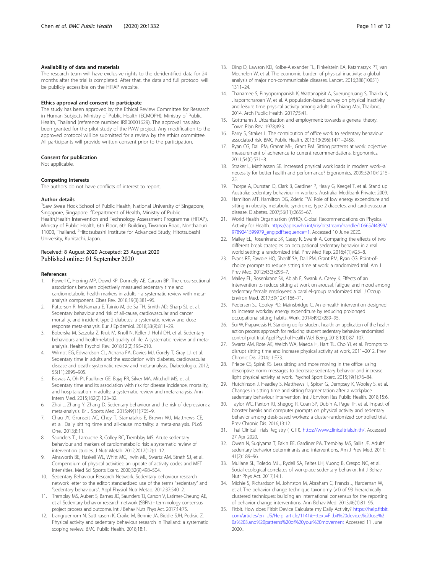#### <span id="page-10-0"></span>Availability of data and materials

The research team will have exclusive rights to the de-identified data for 24 months after the trial is completed. After that, the data and full protocol will be publicly accessible on the HITAP website.

#### Ethics approval and consent to participate

The study has been approved by the Ethical Review Committee for Research in Human Subjects Ministry of Public Health (ECMOPH), Ministry of Public Health, Thailand (reference number: IRB00001629). The approval has also been granted for the pilot study of the PAW project. Any modification to the approved protocol will be submitted for a review by the ethics committee. All participants will provide written consent prior to the participation.

#### Consent for publication

Not applicable.

#### Competing interests

The authors do not have conflicts of interest to report.

#### Author details

<sup>1</sup>Saw Swee Hock School of Public Health, National University of Singapore, Singapore, Singapore. <sup>2</sup>Department of Health, Ministry of Public Health,Health Intervention and Technology Assessment Programme (HITAP), Ministry of Public Health, 6th Floor, 6th Building, Tiwanon Road, Nonthaburi 11000, Thailand. <sup>3</sup>Hitotsubashi Institute for Advanced Study, Hitotsubashi University, Kunitachi, Japan.

#### Received: 8 August 2020 Accepted: 23 August 2020 Published online: 01 September 2020

#### References

- 1. Powell C, Herring MP, Dowd KP, Donnelly AE, Carson BP. The cross-sectional associations between objectively measured sedentary time and cardiometabolic health markers in adults - a systematic review with metaanalysis component. Obes Rev. 2018;19(3):381–95.
- 2. Patterson R, McNamara E, Tainio M, de Sa TH, Smith AD, Sharp SJ, et al. Sedentary behaviour and risk of all-cause, cardiovascular and cancer mortality, and incident type 2 diabetes: a systematic review and dose response meta-analysis. Eur J Epidemiol. 2018;33(9):811–29.
- Boberska M, Szczuka Z, Kruk M, Knoll N, Keller J, Hohl DH, et al. Sedentary behaviours and health-related quality of life. A systematic review and metaanalysis. Health Psychol Rev. 2018;12(2):195–210.
- 4. Wilmot EG, Edwardson CL, Achana FA, Davies MJ, Gorely T, Gray LJ, et al. Sedentary time in adults and the association with diabetes, cardiovascular disease and death: systematic review and meta-analysis. Diabetologia. 2012; 55(11):2895–905.
- Biswas A, Oh PI, Faulkner GE, Bajaj RR, Silver MA, Mitchell MS, et al. Sedentary time and its association with risk for disease incidence, mortality, and hospitalization in adults: a systematic review and meta-analysis. Ann Intern Med. 2015;162(2):123–32.
- 6. Zhai L, Zhang Y, Zhang D. Sedentary behaviour and the risk of depression: a meta-analysis. Br J Sports Med. 2015;49(11):705–9.
- 7. Chau JY, Grunseit AC, Chey T, Stamatakis E, Brown WJ, Matthews CE, et al. Daily sitting time and all-cause mortality: a meta-analysis. PLoS One. 2013;8:11.
- 8. Saunders TJ, Larouche R, Colley RC, Tremblay MS. Acute sedentary behaviour and markers of cardiometabolic risk: a systematic review of intervention studies. J Nutr Metab. 2012;2012(12):1–12.
- Ainsworth BE, Haskell WL, Whitt MC, Irwin ML, Swartz AM, Strath SJ, et al. Compendium of physical activities: an update of activity codes and MET intensities. Med Sci Sports Exerc. 2000;32(9):498–504.
- 10. Sedentary Behaviour Research Network. Sedentary behaviour research network letter to the editor: standardized use of the terms "sedentary" and "sedentary behaviours". Appl Physiol Nutr Metab. 2012;37:540–2.
- 11. Tremblay MS, Aubert S, Barnes JD, Saunders TJ, Carson V, Latimer-Cheung AE, et al. Sedentary behavior research network (SBRN) - terminology consensus project process and outcome. Int J Behav Nutr Phys Act. 2017;14:75.
- 12. Liangruenrom N, Suttikasem K, Craike M, Bennie JA, Biddle SJH, Pedisic Z. Physical activity and sedentary behaviour research in Thailand: a systematic scoping review. BMC Public Health. 2018;18:1.
- 13. Ding D, Lawson KD, Kolbe-Alexander TL, Finkelstein EA, Katzmarzyk PT, van Mechelen W, et al. The economic burden of physical inactivity: a global analysis of major non-communicable diseases. Lancet. 2016;388(10051): 1311–24.
- 14. Thanamee S, Pinyopornpanish K, Wattanapisit A, Suerungruang S, Thaikla K, Jiraporncharoen W, et al. A population-based survey on physical inactivity and leisure time physical activity among adults in Chiang Mai, Thailand, 2014. Arch Public Health. 2017;75:41.
- 15. Gottmann J. Urbanisation and employment: towards a general theory. Town Plan Rev. 1978;49:3.
- 16. Parry S, Straker L. The contribution of office work to sedentary behaviour associated risk. BMC Public Health. 2013;13(296):1471–2458.
- 17. Ryan CG, Dall PM, Granat MH, Grant PM. Sitting patterns at work: objective measurement of adherence to current recommendations. Ergonomics. 2011;54(6):531–8.
- 18. Straker L, Mathiassen SE. Increased physical work loads in modern work--a necessity for better health and performance? Ergonomics. 2009;52(10):1215– 25.
- 19. Thorpe A, Dunstan D, Clark B, Gardiner P, Healy G, Keegel T, et al. Stand up Australia: sedentary behaviour in workers. Australia: Medibank Private; 2009.
- 20. Hamilton MT, Hamilton DG, Zderic TW. Role of low energy expenditure and sitting in obesity, metabolic syndrome, type 2 diabetes, and cardiovascular disease. Diabetes. 2007;56(11):2655–67.
- 21. World Health Organisation (WHO). Global Recommendations on Physical Activity for Health. [https://apps.who.int/iris/bitstream/handle/10665/44399/](https://apps.who.int/iris/bitstream/handle/10665/44399/9789241599979_eng.pdf?sequence=1) [9789241599979\\_eng.pdf?sequence=1](https://apps.who.int/iris/bitstream/handle/10665/44399/9789241599979_eng.pdf?sequence=1). Accessed 10 June 2020.
- 22. Mailey EL, Rosenkranz SK, Casey K, Swank A. Comparing the effects of two different break strategies on occupational sedentary behavior in a real world setting: a randomized trial. Prev Med Rep. 2016;4(1):423–8.
- 23. Evans RE, Fawole HO, Sheriff SA, Dall PM, Grant PM, Ryan CG. Point-ofchoice prompts to reduce sitting time at work: a randomized trial. Am J Prev Med. 2012;43(3):293–7.
- 24. Mailey EL, Rosenkranz SK, Ablah E, Swank A, Casey K. Effects of an intervention to reduce sitting at work on arousal, fatigue, and mood among sedentary female employees: a parallel-group randomized trial. J Occup Environ Med. 2017;59(12):1166–71.
- 25. Pedersen SJ, Cooley PD, Mainsbridge C. An e-health intervention designed to increase workday energy expenditure by reducing prolonged occupational sitting habits. Work. 2014;49(2):289–95.
- 26. Sui W, Prapavessis H. Standing up for student health: an application of the health action process approach for reducing student sedentary behavior-randomised control pilot trial. Appl Psychol Health Well Being. 2018;10(1):87–107.
- 27. Swartz AM, Rote AE, Welch WA, Maeda H, Hart TL, Cho YI, et al. Prompts to disrupt sitting time and increase physical activity at work, 2011–2012. Prev Chronic Dis. 2014;11:E73.
- 28. Priebe CS, Spink KS. Less sitting and more moving in the office: using descriptive norm messages to decrease sedentary behavior and increase light physical activity at work. Psychol Sport Exerc. 2015;19(1):76–84.
- 29. Hutchinson J, Headley S, Matthews T, Spicer G, Dempsey K, Wooley S, et al. Changes in sitting time and sitting fragmentation after a workplace sedentary behaviour intervention. Int J Environ Res Public Health. 2018;15:6.
- 30. Taylor WC, Paxton RJ, Shegog R, Coan SP, Dubin A, Page TF, et al. Impact of booster breaks and computer prompts on physical activity and sedentary behavior among desk-based workers: a cluster-randomized controlled trial. Prev Chronic Dis. 2016;13:12.
- 31. Thai Clinical Trials Registry (TCTR). [https://www.clinicaltrials.in.th/.](https://www.clinicaltrials.in.th/) Accessed 27 Apr 2020.
- 32. Owen N, Sugiyama T, Eakin EE, Gardiner PA, Tremblay MS, Sallis JF. Adults' sedentary behavior determinants and interventions. Am J Prev Med. 2011; 41(2):189–96.
- 33. Mullane SL, Toledo MJL, Rydell SA, Feltes LH, Vuong B, Crespo NC, et al. Social ecological correlates of workplace sedentary behavior. Int J Behav Nutr Phys Act. 2017;14:1.
- 34. Michie S, Richardson M, Johnston M, Abraham C, Francis J, Hardeman W, et al. The behavior change technique taxonomy (v1) of 93 hierarchically clustered techniques: building an international consensus for the reporting of behavior change interventions. Ann Behav Med. 2013;46(1):81–95.
- 35. Fitbit. How does Fitbit Device Calculate my Daily Activity? [https://help.fitbit.](https://help.fitbit.com/articles/en_US/Help_article/1141#:~:text=Fitbit%20devices%20use%20a%203,and%20patterns%20of%20your%20movement) [com/articles/en\\_US/Help\\_article/1141#:~:text=Fitbit%20devices%20use%2](https://help.fitbit.com/articles/en_US/Help_article/1141#:~:text=Fitbit%20devices%20use%20a%203,and%20patterns%20of%20your%20movement) [0a%203,and%20patterns%20of%20your%20movement](https://help.fitbit.com/articles/en_US/Help_article/1141#:~:text=Fitbit%20devices%20use%20a%203,and%20patterns%20of%20your%20movement) Accessed 11 June 2020..